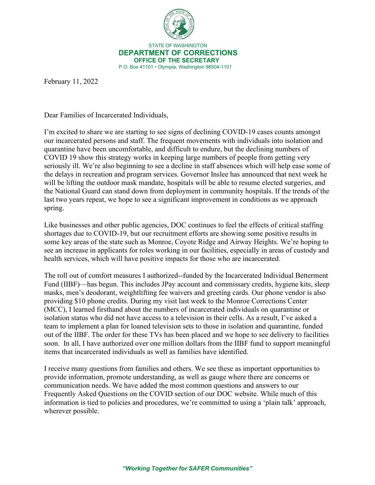

 STATE OF WASHINGTON **DEPARTMENT OF CORRECTIONS OFFICE OF THE SECRETARY** P.O. Box 41101 • Olympia, Washington 98504-1101

February 11, 2022

Dear Families of Incarcerated Individuals,

I'm excited to share we are starting to see signs of declining COVID-19 cases counts amongst our incarcerated persons and staff. The frequent movements with individuals into isolation and quarantine have been uncomfortable, and difficult to endure, but the declining numbers of COVID 19 show this strategy works in keeping large numbers of people from getting very seriously ill. We're also beginning to see a decline in staff absences which will help ease some of the delays in recreation and program services. Governor Inslee has announced that next week he will be lifting the outdoor mask mandate, hospitals will be able to resume elected surgeries, and the National Guard can stand down from deployment in community hospitals. If the trends of the last two years repeat, we hope to see a significant improvement in conditions as we approach spring.

Like businesses and other public agencies, DOC continues to feel the effects of critical staffing shortages due to COVID-19, but our recruitment efforts are showing some positive results in some key areas of the state such as Monroe, Coyote Ridge and Airway Heights. We're hoping to see an increase in applicants for roles working in our facilities, especially in areas of custody and health services, which will have positive impacts for those who are incarcerated.

The roll out of comfort measures I authorized--funded by the Incarcerated Individual Betterment Fund (IIBF)—has begun. This includes JPay account and commissary credits, hygiene kits, sleep masks, men's deodorant, weightlifting fee waivers and greeting cards. Our phone vendor is also providing \$10 phone credits. During my visit last week to the Monroe Corrections Center (MCC), I learned firsthand about the numbers of incarcerated individuals on quarantine or isolation status who did not have access to a television in their cells. As a result, I've asked a team to implement a plan for loaned television sets to those in isolation and quarantine, funded out of the IIBF. The order for these TVs has been placed and we hope to see delivery to facilities soon. In all, I have authorized over one million dollars from the IIBF fund to support meaningful items that incarcerated individuals as well as families have identified.

I receive many questions from families and others. We see these as important opportunities to provide information, promote understanding, as well as gauge where there are concerns or communication needs. We have added the most common questions and answers to our Frequently Asked Questions on the COVID section of our DOC website. While much of this information is tied to policies and procedures, we're committed to using a 'plain talk' approach, wherever possible.